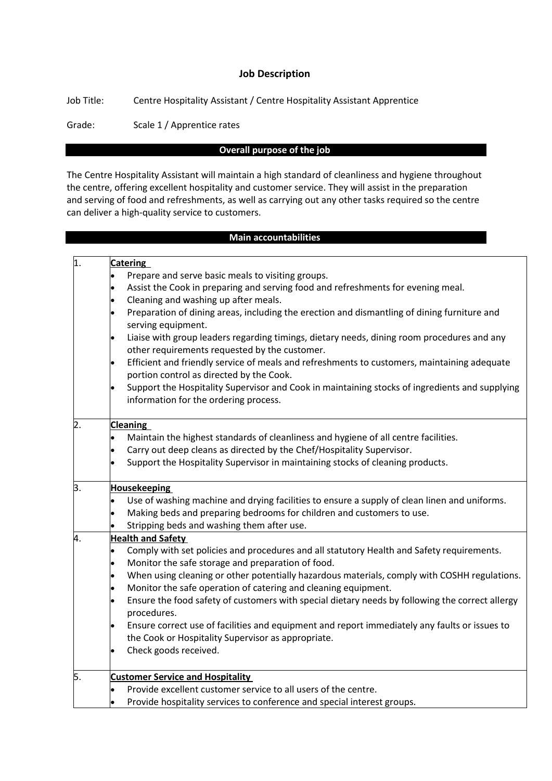#### **Job Description**

Job Title: Centre Hospitality Assistant / Centre Hospitality Assistant Apprentice

Grade: Scale 1 / Apprentice rates

### **Overall purpose of the job**

The Centre Hospitality Assistant will maintain a high standard of cleanliness and hygiene throughout the centre, offering excellent hospitality and customer service. They will assist in the preparation and serving of food and refreshments, as well as carrying out any other tasks required so the centre can deliver a high-quality service to customers.

#### **Main accountabilities**

| $\overline{1}$ . |           | <b>Catering</b>                                                                                                                         |  |  |  |
|------------------|-----------|-----------------------------------------------------------------------------------------------------------------------------------------|--|--|--|
|                  |           | Prepare and serve basic meals to visiting groups.                                                                                       |  |  |  |
|                  | $\bullet$ | Assist the Cook in preparing and serving food and refreshments for evening meal.                                                        |  |  |  |
|                  | lo        | Cleaning and washing up after meals.                                                                                                    |  |  |  |
|                  |           | Preparation of dining areas, including the erection and dismantling of dining furniture and<br>serving equipment.                       |  |  |  |
|                  | $\bullet$ | Liaise with group leaders regarding timings, dietary needs, dining room procedures and any                                              |  |  |  |
|                  |           | other requirements requested by the customer.                                                                                           |  |  |  |
|                  |           | Efficient and friendly service of meals and refreshments to customers, maintaining adequate                                             |  |  |  |
|                  |           | portion control as directed by the Cook.                                                                                                |  |  |  |
|                  | $\bullet$ | Support the Hospitality Supervisor and Cook in maintaining stocks of ingredients and supplying<br>information for the ordering process. |  |  |  |
| 2.               |           | <b>Cleaning</b>                                                                                                                         |  |  |  |
|                  |           | Maintain the highest standards of cleanliness and hygiene of all centre facilities.                                                     |  |  |  |
|                  | $\bullet$ | Carry out deep cleans as directed by the Chef/Hospitality Supervisor.                                                                   |  |  |  |
|                  |           | Support the Hospitality Supervisor in maintaining stocks of cleaning products.                                                          |  |  |  |
| З.               |           | <b>Housekeeping</b>                                                                                                                     |  |  |  |
|                  | l.        | Use of washing machine and drying facilities to ensure a supply of clean linen and uniforms.                                            |  |  |  |
|                  |           | Making beds and preparing bedrooms for children and customers to use.                                                                   |  |  |  |
|                  |           | Stripping beds and washing them after use.                                                                                              |  |  |  |
| 4.               |           | <b>Health and Safety</b>                                                                                                                |  |  |  |
|                  |           | Comply with set policies and procedures and all statutory Health and Safety requirements.                                               |  |  |  |
|                  | $\bullet$ | Monitor the safe storage and preparation of food.                                                                                       |  |  |  |
|                  | $\bullet$ | When using cleaning or other potentially hazardous materials, comply with COSHH regulations.                                            |  |  |  |
|                  | $\bullet$ | Monitor the safe operation of catering and cleaning equipment.                                                                          |  |  |  |
|                  | $\bullet$ | Ensure the food safety of customers with special dietary needs by following the correct allergy<br>procedures.                          |  |  |  |
|                  | $\bullet$ | Ensure correct use of facilities and equipment and report immediately any faults or issues to                                           |  |  |  |
|                  |           | the Cook or Hospitality Supervisor as appropriate.                                                                                      |  |  |  |
|                  | $\bullet$ | Check goods received.                                                                                                                   |  |  |  |
| 5.               |           | <b>Customer Service and Hospitality</b>                                                                                                 |  |  |  |
|                  |           | Provide excellent customer service to all users of the centre.                                                                          |  |  |  |
|                  |           | Provide hospitality services to conference and special interest groups.                                                                 |  |  |  |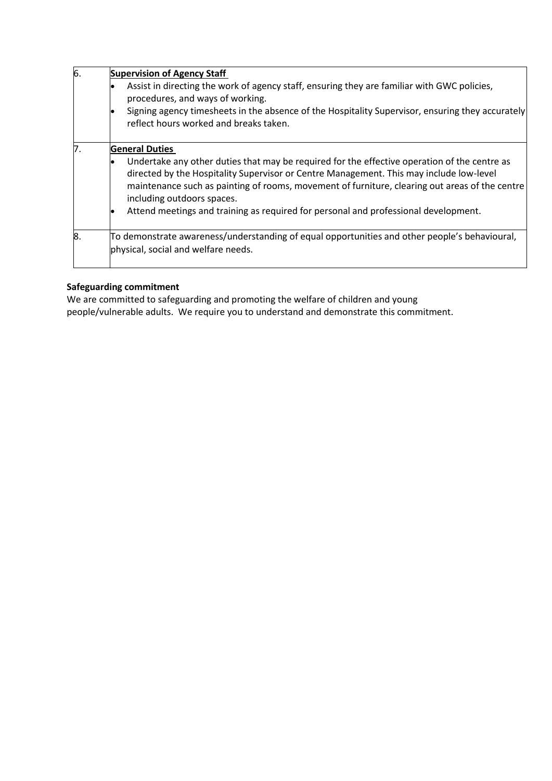| 6. | <b>Supervision of Agency Staff</b><br>Assist in directing the work of agency staff, ensuring they are familiar with GWC policies,<br>procedures, and ways of working.<br>Signing agency timesheets in the absence of the Hospitality Supervisor, ensuring they accurately                                               |  |  |  |
|----|-------------------------------------------------------------------------------------------------------------------------------------------------------------------------------------------------------------------------------------------------------------------------------------------------------------------------|--|--|--|
|    | reflect hours worked and breaks taken.                                                                                                                                                                                                                                                                                  |  |  |  |
| 7. | <b>General Duties</b>                                                                                                                                                                                                                                                                                                   |  |  |  |
|    | Undertake any other duties that may be required for the effective operation of the centre as<br>directed by the Hospitality Supervisor or Centre Management. This may include low-level<br>maintenance such as painting of rooms, movement of furniture, clearing out areas of the centre<br>including outdoors spaces. |  |  |  |
|    | Attend meetings and training as required for personal and professional development.                                                                                                                                                                                                                                     |  |  |  |
| 8. | To demonstrate awareness/understanding of equal opportunities and other people's behavioural,<br>physical, social and welfare needs.                                                                                                                                                                                    |  |  |  |

### **Safeguarding commitment**

We are committed to safeguarding and promoting the welfare of children and young people/vulnerable adults. We require you to understand and demonstrate this commitment.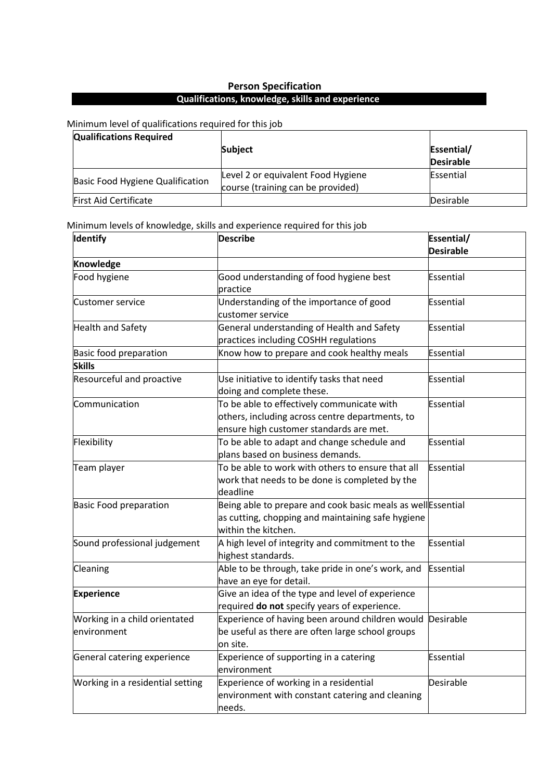# **Person Specification Qualifications, knowledge, skills and experience**

#### Minimum level of qualifications required for this job

| <b>Qualifications Required</b>   |                                                                         |            |  |
|----------------------------------|-------------------------------------------------------------------------|------------|--|
|                                  | <b>Subject</b>                                                          | Essential/ |  |
|                                  |                                                                         | Desirable  |  |
| Basic Food Hygiene Qualification | Level 2 or equivalent Food Hygiene<br>course (training can be provided) | Essential  |  |
| <b>First Aid Certificate</b>     |                                                                         | Desirable  |  |

# Minimum levels of knowledge, skills and experience required for this job

| Identify                                     | <b>Describe</b>                                                                                                                          | Essential/<br><b>Desirable</b> |  |
|----------------------------------------------|------------------------------------------------------------------------------------------------------------------------------------------|--------------------------------|--|
|                                              |                                                                                                                                          |                                |  |
| Knowledge                                    |                                                                                                                                          |                                |  |
| Food hygiene                                 | Good understanding of food hygiene best<br>practice                                                                                      | <b>Essential</b>               |  |
| Customer service                             | Understanding of the importance of good<br>customer service                                                                              | <b>Essential</b>               |  |
| <b>Health and Safety</b>                     | General understanding of Health and Safety<br>practices including COSHH regulations                                                      | <b>Essential</b>               |  |
| Basic food preparation                       | Know how to prepare and cook healthy meals                                                                                               | Essential                      |  |
| <b>Skills</b>                                |                                                                                                                                          |                                |  |
| Resourceful and proactive                    | Use initiative to identify tasks that need<br>doing and complete these.                                                                  | Essential                      |  |
| Communication                                | To be able to effectively communicate with<br>others, including across centre departments, to<br>ensure high customer standards are met. | Essential                      |  |
| Flexibility                                  | To be able to adapt and change schedule and<br>plans based on business demands.                                                          | Essential                      |  |
| Team player                                  | To be able to work with others to ensure that all<br>work that needs to be done is completed by the<br>deadline                          | Essential                      |  |
| <b>Basic Food preparation</b>                | Being able to prepare and cook basic meals as well Essential<br>as cutting, chopping and maintaining safe hygiene<br>within the kitchen. |                                |  |
| Sound professional judgement                 | A high level of integrity and commitment to the<br>highest standards.                                                                    | Essential                      |  |
| Cleaning                                     | Able to be through, take pride in one's work, and<br>have an eye for detail.                                                             | Essential                      |  |
| <b>Experience</b>                            | Give an idea of the type and level of experience<br>required do not specify years of experience.                                         |                                |  |
| Working in a child orientated<br>environment | Experience of having been around children would Desirable<br>be useful as there are often large school groups<br>on site.                |                                |  |
| General catering experience                  | Experience of supporting in a catering<br>environment                                                                                    | Essential                      |  |
| Working in a residential setting             | Experience of working in a residential<br>environment with constant catering and cleaning<br>needs.                                      | Desirable                      |  |